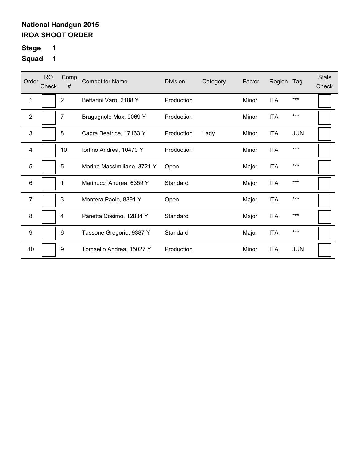# **Stage** 1

| Order          | <b>RO</b><br>Check | Comp<br>#      | <b>Competitor Name</b>      | Division   | Category | Factor | Region     | Tag        | <b>Stats</b><br>Check |
|----------------|--------------------|----------------|-----------------------------|------------|----------|--------|------------|------------|-----------------------|
| 1              |                    | $\overline{2}$ | Bettarini Varo, 2188 Y      | Production |          | Minor  | <b>ITA</b> | $***$      |                       |
| $\overline{2}$ |                    | 7              | Bragagnolo Max, 9069 Y      | Production |          | Minor  | <b>ITA</b> | $***$      |                       |
| 3              |                    | 8              | Capra Beatrice, 17163 Y     | Production | Lady     | Minor  | <b>ITA</b> | <b>JUN</b> |                       |
| 4              |                    | 10             | lorfino Andrea, 10470 Y     | Production |          | Minor  | <b>ITA</b> | $***$      |                       |
| 5              |                    | 5              | Marino Massimiliano, 3721 Y | Open       |          | Major  | <b>ITA</b> | $***$      |                       |
| 6              |                    | 1              | Marinucci Andrea, 6359 Y    | Standard   |          | Major  | <b>ITA</b> | $***$      |                       |
| $\overline{7}$ |                    | 3              | Montera Paolo, 8391 Y       | Open       |          | Major  | <b>ITA</b> | $***$      |                       |
| 8              |                    | 4              | Panetta Cosimo, 12834 Y     | Standard   |          | Major  | <b>ITA</b> | $***$      |                       |
| 9              |                    | 6              | Tassone Gregorio, 9387 Y    | Standard   |          | Major  | <b>ITA</b> | $***$      |                       |
| 10             |                    | 9              | Tomaello Andrea, 15027 Y    | Production |          | Minor  | <b>ITA</b> | <b>JUN</b> |                       |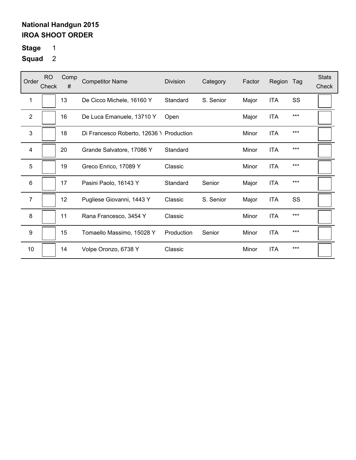# **Stage** 1

| Order          | <b>RO</b><br>Check | Comp<br># | <b>Competitor Name</b>                   | <b>Division</b> | Category  | Factor | Region     | Tag   | <b>Stats</b><br>Check |
|----------------|--------------------|-----------|------------------------------------------|-----------------|-----------|--------|------------|-------|-----------------------|
| 1              |                    | 13        | De Cicco Michele, 16160 Y                | Standard        | S. Senior | Major  | <b>ITA</b> | SS    |                       |
| $\overline{2}$ |                    | 16        | De Luca Emanuele, 13710 Y                | Open            |           | Major  | <b>ITA</b> | $***$ |                       |
| 3              |                    | 18        | Di Francesco Roberto, 12636 \ Production |                 |           | Minor  | <b>ITA</b> | ***   |                       |
| 4              |                    | 20        | Grande Salvatore, 17086 Y                | Standard        |           | Minor  | <b>ITA</b> | $***$ |                       |
| 5              |                    | 19        | Greco Enrico, 17089 Y                    | Classic         |           | Minor  | <b>ITA</b> | $***$ |                       |
| 6              |                    | 17        | Pasini Paolo, 16143 Y                    | Standard        | Senior    | Major  | <b>ITA</b> | $***$ |                       |
| $\overline{7}$ |                    | 12        | Pugliese Giovanni, 1443 Y                | Classic         | S. Senior | Major  | <b>ITA</b> | SS    |                       |
| 8              |                    | 11        | Rana Francesco, 3454 Y                   | Classic         |           | Minor  | <b>ITA</b> | $***$ |                       |
| 9              |                    | 15        | Tomaello Massimo, 15028 Y                | Production      | Senior    | Minor  | <b>ITA</b> | ***   |                       |
| 10             |                    | 14        | Volpe Oronzo, 6738 Y                     | Classic         |           | Minor  | <b>ITA</b> | $***$ |                       |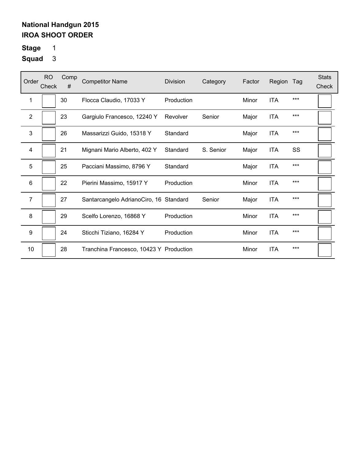# **Stage** 1

| Order          | <b>RO</b><br>Check | Comp<br># | <b>Competitor Name</b>                  | Division   | Category  | Factor | Region     | Tag       | <b>Stats</b><br>Check |
|----------------|--------------------|-----------|-----------------------------------------|------------|-----------|--------|------------|-----------|-----------------------|
| 1              |                    | 30        | Flocca Claudio, 17033 Y                 | Production |           | Minor  | <b>ITA</b> | $***$     |                       |
| $\overline{2}$ |                    | 23        | Gargiulo Francesco, 12240 Y             | Revolver   | Senior    | Major  | <b>ITA</b> | $***$     |                       |
| 3              |                    | 26        | Massarizzi Guido, 15318 Y               | Standard   |           | Major  | <b>ITA</b> | $***$     |                       |
| 4              |                    | 21        | Mignani Mario Alberto, 402 Y            | Standard   | S. Senior | Major  | <b>ITA</b> | <b>SS</b> |                       |
| 5              |                    | 25        | Pacciani Massimo, 8796 Y                | Standard   |           | Major  | <b>ITA</b> | $***$     |                       |
| 6              |                    | 22        | Pierini Massimo, 15917 Y                | Production |           | Minor  | <b>ITA</b> | $***$     |                       |
| $\overline{7}$ |                    | 27        | Santarcangelo AdrianoCiro, 16 Standard  |            | Senior    | Major  | <b>ITA</b> | $***$     |                       |
| 8              |                    | 29        | Scelfo Lorenzo, 16868 Y                 | Production |           | Minor  | <b>ITA</b> | $***$     |                       |
| 9              |                    | 24        | Sticchi Tiziano, 16284 Y                | Production |           | Minor  | <b>ITA</b> | $***$     |                       |
| 10             |                    | 28        | Tranchina Francesco, 10423 Y Production |            |           | Minor  | <b>ITA</b> | $***$     |                       |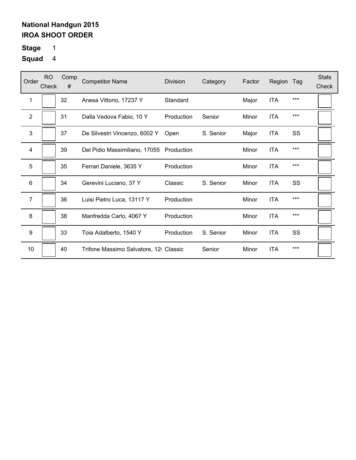# **Stage** 1

| Order            | <b>RO</b><br>Check | Comp<br># | <b>Competitor Name</b>                | <b>Division</b> | Category  | Factor | Region     | Tag | <b>Stats</b><br>Check |
|------------------|--------------------|-----------|---------------------------------------|-----------------|-----------|--------|------------|-----|-----------------------|
| 1                |                    | 32        | Anesa Vittorio, 17237 Y               | Standard        |           | Major  | <b>ITA</b> | *** |                       |
| $\overline{2}$   |                    | 31        | Dalla Vedova Fabio, 10 Y              | Production      | Senior    | Minor  | <b>ITA</b> | *** |                       |
| 3                |                    | 37        | De Silvestri Vincenzo, 6002 Y         | Open            | S. Senior | Major  | <b>ITA</b> | SS  |                       |
| 4                |                    | 39        | Del Pidio Massimiliano, 17055         | Production      |           | Minor  | <b>ITA</b> | *** |                       |
| 5                |                    | 35        | Ferrari Daniele, 3635 Y               | Production      |           | Minor  | <b>ITA</b> | *** |                       |
| 6                |                    | 34        | Gerevini Luciano, 37 Y                | Classic         | S. Senior | Minor  | <b>ITA</b> | SS  |                       |
| $\overline{7}$   |                    | 36        | Luisi Pietro Luca, 13117 Y            | Production      |           | Minor  | <b>ITA</b> | *** |                       |
| 8                |                    | 38        | Manfredda Carlo, 4067 Y               | Production      |           | Minor  | <b>ITA</b> | *** |                       |
| $\boldsymbol{9}$ |                    | 33        | Toia Adalberto, 1540 Y                | Production      | S. Senior | Minor  | <b>ITA</b> | SS  |                       |
| 10               |                    | 40        | Trifone Massimo Salvatore, 12 Classic |                 | Senior    | Minor  | <b>ITA</b> | *** |                       |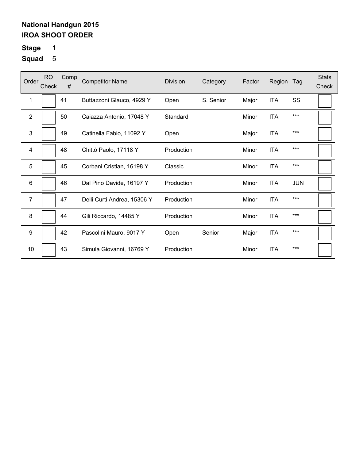# **Stage** 1

| Order          | <b>RO</b><br>Check | Comp<br># | <b>Competitor Name</b>      | <b>Division</b> | Category  | Factor | Region     | Tag        | <b>Stats</b><br>Check |
|----------------|--------------------|-----------|-----------------------------|-----------------|-----------|--------|------------|------------|-----------------------|
| 1              |                    | 41        | Buttazzoni Glauco, 4929 Y   | Open            | S. Senior | Major  | <b>ITA</b> | SS         |                       |
| $\overline{2}$ |                    | 50        | Caiazza Antonio, 17048 Y    | Standard        |           | Minor  | <b>ITA</b> | $***$      |                       |
| 3              |                    | 49        | Catinella Fabio, 11092 Y    | Open            |           | Major  | <b>ITA</b> | ***        |                       |
| 4              |                    | 48        | Chittò Paolo, 17118 Y       | Production      |           | Minor  | <b>ITA</b> | $***$      |                       |
| 5              |                    | 45        | Corbani Cristian, 16198 Y   | Classic         |           | Minor  | <b>ITA</b> | $***$      |                       |
| 6              |                    | 46        | Dal Pino Davide, 16197 Y    | Production      |           | Minor  | <b>ITA</b> | <b>JUN</b> |                       |
| $\overline{7}$ |                    | 47        | Delli Curti Andrea, 15306 Y | Production      |           | Minor  | <b>ITA</b> | ***        |                       |
| 8              |                    | 44        | Gili Riccardo, 14485 Y      | Production      |           | Minor  | <b>ITA</b> | $***$      |                       |
| 9              |                    | 42        | Pascolini Mauro, 9017 Y     | Open            | Senior    | Major  | <b>ITA</b> | $***$      |                       |
| 10             |                    | 43        | Simula Giovanni, 16769 Y    | Production      |           | Minor  | <b>ITA</b> | $***$      |                       |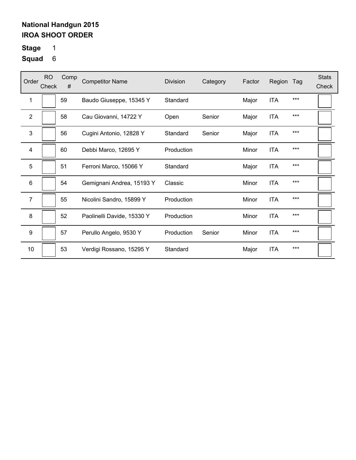# **Stage** 1

| Order            | <b>RO</b><br>Check | Comp<br># | <b>Competitor Name</b>     | <b>Division</b> | Category | Factor | Region     | Tag   | <b>Stats</b><br>Check |
|------------------|--------------------|-----------|----------------------------|-----------------|----------|--------|------------|-------|-----------------------|
| 1                |                    | 59        | Baudo Giuseppe, 15345 Y    | Standard        |          | Major  | <b>ITA</b> | $***$ |                       |
| $\mathbf{2}$     |                    | 58        | Cau Giovanni, 14722 Y      | Open            | Senior   | Major  | <b>ITA</b> | $***$ |                       |
| 3                |                    | 56        | Cugini Antonio, 12828 Y    | Standard        | Senior   | Major  | <b>ITA</b> | $***$ |                       |
| 4                |                    | 60        | Debbi Marco, 12695 Y       | Production      |          | Minor  | <b>ITA</b> | $***$ |                       |
| 5                |                    | 51        | Ferroni Marco, 15066 Y     | Standard        |          | Major  | <b>ITA</b> | $***$ |                       |
| 6                |                    | 54        | Gemignani Andrea, 15193 Y  | Classic         |          | Minor  | <b>ITA</b> | ***   |                       |
| $\overline{7}$   |                    | 55        | Nicolini Sandro, 15899 Y   | Production      |          | Minor  | <b>ITA</b> | $***$ |                       |
| 8                |                    | 52        | Paolinelli Davide, 15330 Y | Production      |          | Minor  | <b>ITA</b> | $***$ |                       |
| $\boldsymbol{9}$ |                    | 57        | Perullo Angelo, 9530 Y     | Production      | Senior   | Minor  | <b>ITA</b> | $***$ |                       |
| 10               |                    | 53        | Verdigi Rossano, 15295 Y   | Standard        |          | Major  | <b>ITA</b> | $***$ |                       |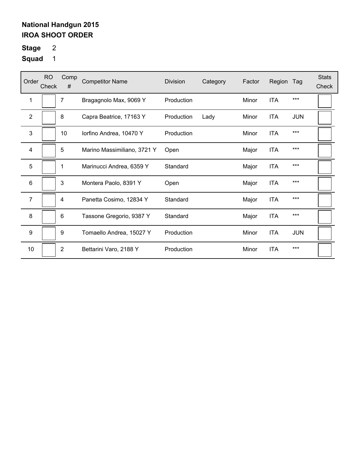# **Stage** 2

| Order          | <b>RO</b><br>Check | Comp<br>#      | <b>Competitor Name</b>      | <b>Division</b> | Category | Factor | Region     | Tag        | <b>Stats</b><br>Check |
|----------------|--------------------|----------------|-----------------------------|-----------------|----------|--------|------------|------------|-----------------------|
| 1              |                    | 7              | Bragagnolo Max, 9069 Y      | Production      |          | Minor  | <b>ITA</b> | $***$      |                       |
| $\overline{2}$ |                    | 8              | Capra Beatrice, 17163 Y     | Production      | Lady     | Minor  | <b>ITA</b> | <b>JUN</b> |                       |
| 3              |                    | 10             | lorfino Andrea, 10470 Y     | Production      |          | Minor  | <b>ITA</b> | ***        |                       |
| $\overline{4}$ |                    | 5              | Marino Massimiliano, 3721 Y | Open            |          | Major  | <b>ITA</b> | $***$      |                       |
| 5              |                    | 1              | Marinucci Andrea, 6359 Y    | Standard        |          | Major  | <b>ITA</b> | $***$      |                       |
| 6              |                    | 3              | Montera Paolo, 8391 Y       | Open            |          | Major  | <b>ITA</b> | $***$      |                       |
| 7              |                    | 4              | Panetta Cosimo, 12834 Y     | Standard        |          | Major  | <b>ITA</b> | $***$      |                       |
| 8              |                    | 6              | Tassone Gregorio, 9387 Y    | Standard        |          | Major  | <b>ITA</b> | $***$      |                       |
| 9              |                    | 9              | Tomaello Andrea, 15027 Y    | Production      |          | Minor  | <b>ITA</b> | <b>JUN</b> |                       |
| 10             |                    | $\overline{2}$ | Bettarini Varo, 2188 Y      | Production      |          | Minor  | <b>ITA</b> | $***$      |                       |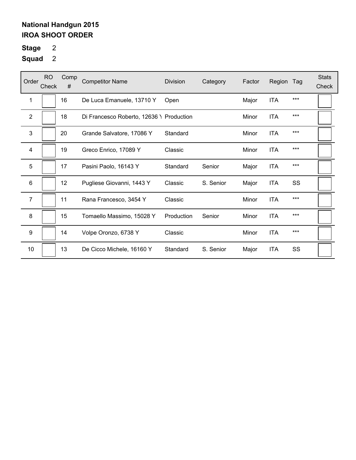# **Stage** 2

| Order            | <b>RO</b><br>Check | Comp<br>#       | <b>Competitor Name</b>                   | <b>Division</b> | Category  | Factor | Region     | Tag | <b>Stats</b><br>Check |
|------------------|--------------------|-----------------|------------------------------------------|-----------------|-----------|--------|------------|-----|-----------------------|
| 1                |                    | 16              | De Luca Emanuele, 13710 Y                | Open            |           | Major  | <b>ITA</b> | *** |                       |
| $\mathbf{2}$     |                    | 18              | Di Francesco Roberto, 12636 \ Production |                 |           | Minor  | <b>ITA</b> | *** |                       |
| 3                |                    | 20              | Grande Salvatore, 17086 Y                | Standard        |           | Minor  | <b>ITA</b> | *** |                       |
| 4                |                    | 19              | Greco Enrico, 17089 Y                    | Classic         |           | Minor  | <b>ITA</b> | *** |                       |
| 5                |                    | 17              | Pasini Paolo, 16143 Y                    | Standard        | Senior    | Major  | ITA        | *** |                       |
| $\,6$            |                    | 12 <sup>2</sup> | Pugliese Giovanni, 1443 Y                | Classic         | S. Senior | Major  | <b>ITA</b> | SS  |                       |
| $\overline{7}$   |                    | 11              | Rana Francesco, 3454 Y                   | Classic         |           | Minor  | <b>ITA</b> | *** |                       |
| $\bf 8$          |                    | 15              | Tomaello Massimo, 15028 Y                | Production      | Senior    | Minor  | <b>ITA</b> | *** |                       |
| $\boldsymbol{9}$ |                    | 14              | Volpe Oronzo, 6738 Y                     | Classic         |           | Minor  | <b>ITA</b> | *** |                       |
| 10               |                    | 13              | De Cicco Michele, 16160 Y                | Standard        | S. Senior | Major  | <b>ITA</b> | SS  |                       |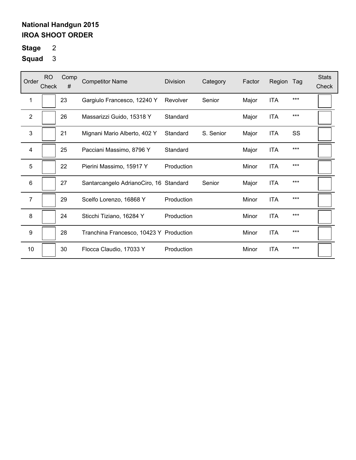# **Stage** 2

| Order            | <b>RO</b><br>Check | Comp<br># | <b>Competitor Name</b>                  | <b>Division</b> | Category  | Factor | Region     | Tag   | <b>Stats</b><br>Check |
|------------------|--------------------|-----------|-----------------------------------------|-----------------|-----------|--------|------------|-------|-----------------------|
| 1                |                    | 23        | Gargiulo Francesco, 12240 Y             | Revolver        | Senior    | Major  | <b>ITA</b> | $***$ |                       |
| $\overline{2}$   |                    | 26        | Massarizzi Guido, 15318 Y               | Standard        |           | Major  | <b>ITA</b> | $***$ |                       |
| 3                |                    | 21        | Mignani Mario Alberto, 402 Y            | Standard        | S. Senior | Major  | <b>ITA</b> | SS    |                       |
| 4                |                    | 25        | Pacciani Massimo, 8796 Y                | Standard        |           | Major  | <b>ITA</b> | $***$ |                       |
| 5                |                    | 22        | Pierini Massimo, 15917 Y                | Production      |           | Minor  | <b>ITA</b> | $***$ |                       |
| 6                |                    | 27        | Santarcangelo AdrianoCiro, 16 Standard  |                 | Senior    | Major  | <b>ITA</b> | ***   |                       |
| $\overline{7}$   |                    | 29        | Scelfo Lorenzo, 16868 Y                 | Production      |           | Minor  | <b>ITA</b> | $***$ |                       |
| 8                |                    | 24        | Sticchi Tiziano, 16284 Y                | Production      |           | Minor  | <b>ITA</b> | $***$ |                       |
| $\boldsymbol{9}$ |                    | 28        | Tranchina Francesco, 10423 Y Production |                 |           | Minor  | <b>ITA</b> | ***   |                       |
| 10               |                    | 30        | Flocca Claudio, 17033 Y                 | Production      |           | Minor  | <b>ITA</b> | $***$ |                       |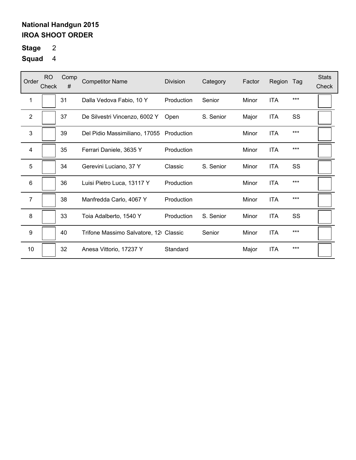# **Stage** 2

| Order          | <b>RO</b><br>Check | Comp<br># | <b>Competitor Name</b>                   | <b>Division</b> | Category  | Factor | Region     | Tag   | <b>Stats</b><br>Check |
|----------------|--------------------|-----------|------------------------------------------|-----------------|-----------|--------|------------|-------|-----------------------|
| 1              |                    | 31        | Dalla Vedova Fabio, 10 Y                 | Production      | Senior    | Minor  | <b>ITA</b> | $***$ |                       |
| 2              |                    | 37        | De Silvestri Vincenzo, 6002 Y            | Open            | S. Senior | Major  | ITA        | SS    |                       |
| 3              |                    | 39        | Del Pidio Massimiliano, 17055 Production |                 |           | Minor  | <b>ITA</b> | $***$ |                       |
| 4              |                    | 35        | Ferrari Daniele, 3635 Y                  | Production      |           | Minor  | <b>ITA</b> | $***$ |                       |
| 5              |                    | 34        | Gerevini Luciano, 37 Y                   | Classic         | S. Senior | Minor  | <b>ITA</b> | SS    |                       |
| 6              |                    | 36        | Luisi Pietro Luca, 13117 Y               | Production      |           | Minor  | <b>ITA</b> | ***   |                       |
| $\overline{7}$ |                    | 38        | Manfredda Carlo, 4067 Y                  | Production      |           | Minor  | <b>ITA</b> | $***$ |                       |
| 8              |                    | 33        | Toia Adalberto, 1540 Y                   | Production      | S. Senior | Minor  | <b>ITA</b> | SS    |                       |
| 9              |                    | 40        | Trifone Massimo Salvatore, 12 Classic    |                 | Senior    | Minor  | <b>ITA</b> | ***   |                       |
| 10             |                    | 32        | Anesa Vittorio, 17237 Y                  | Standard        |           | Major  | <b>ITA</b> | $***$ |                       |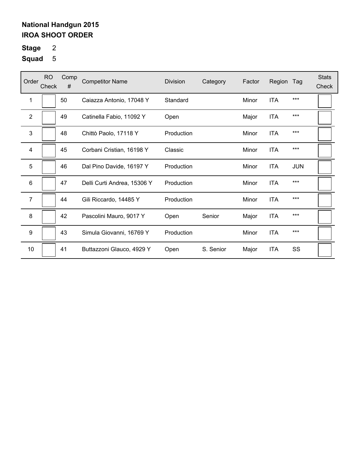# **Stage** 2

| Order            | <b>RO</b><br>Check | Comp<br># | <b>Competitor Name</b>      | <b>Division</b> | Category  | Factor | Region     | Tag        | <b>Stats</b><br>Check |
|------------------|--------------------|-----------|-----------------------------|-----------------|-----------|--------|------------|------------|-----------------------|
| 1                |                    | 50        | Caiazza Antonio, 17048 Y    | Standard        |           | Minor  | <b>ITA</b> | ***        |                       |
| $\overline{2}$   |                    | 49        | Catinella Fabio, 11092 Y    | Open            |           | Major  | <b>ITA</b> | ***        |                       |
| 3                |                    | 48        | Chittò Paolo, 17118 Y       | Production      |           | Minor  | <b>ITA</b> | ***        |                       |
| 4                |                    | 45        | Corbani Cristian, 16198 Y   | Classic         |           | Minor  | <b>ITA</b> | ***        |                       |
| 5                |                    | 46        | Dal Pino Davide, 16197 Y    | Production      |           | Minor  | <b>ITA</b> | <b>JUN</b> |                       |
| 6                |                    | 47        | Delli Curti Andrea, 15306 Y | Production      |           | Minor  | <b>ITA</b> | ***        |                       |
| $\overline{7}$   |                    | 44        | Gili Riccardo, 14485 Y      | Production      |           | Minor  | <b>ITA</b> | ***        |                       |
| 8                |                    | 42        | Pascolini Mauro, 9017 Y     | Open            | Senior    | Major  | <b>ITA</b> | ***        |                       |
| $\boldsymbol{9}$ |                    | 43        | Simula Giovanni, 16769 Y    | Production      |           | Minor  | <b>ITA</b> | ***        |                       |
| 10               |                    | 41        | Buttazzoni Glauco, 4929 Y   | Open            | S. Senior | Major  | <b>ITA</b> | SS         |                       |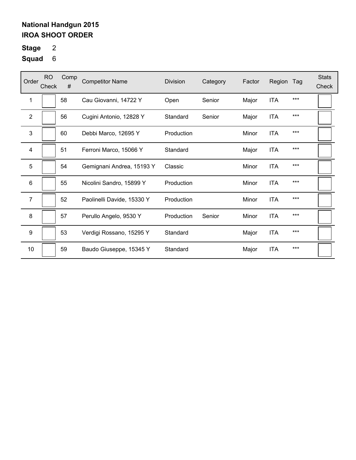# **Stage** 2

| Order            | <b>RO</b><br>Check | Comp<br># | <b>Competitor Name</b>     | <b>Division</b> | Category | Factor | Region     | Tag   | <b>Stats</b><br>Check |
|------------------|--------------------|-----------|----------------------------|-----------------|----------|--------|------------|-------|-----------------------|
| 1                |                    | 58        | Cau Giovanni, 14722 Y      | Open            | Senior   | Major  | <b>ITA</b> | $***$ |                       |
| 2                |                    | 56        | Cugini Antonio, 12828 Y    | Standard        | Senior   | Major  | <b>ITA</b> | $***$ |                       |
| 3                |                    | 60        | Debbi Marco, 12695 Y       | Production      |          | Minor  | <b>ITA</b> | $***$ |                       |
| 4                |                    | 51        | Ferroni Marco, 15066 Y     | Standard        |          | Major  | <b>ITA</b> | $***$ |                       |
| 5                |                    | 54        | Gemignani Andrea, 15193 Y  | Classic         |          | Minor  | <b>ITA</b> | $***$ |                       |
| 6                |                    | 55        | Nicolini Sandro, 15899 Y   | Production      |          | Minor  | <b>ITA</b> | ***   |                       |
| $\overline{7}$   |                    | 52        | Paolinelli Davide, 15330 Y | Production      |          | Minor  | <b>ITA</b> | $***$ |                       |
| 8                |                    | 57        | Perullo Angelo, 9530 Y     | Production      | Senior   | Minor  | <b>ITA</b> | $***$ |                       |
| $\boldsymbol{9}$ |                    | 53        | Verdigi Rossano, 15295 Y   | Standard        |          | Major  | <b>ITA</b> | $***$ |                       |
| 10               |                    | 59        | Baudo Giuseppe, 15345 Y    | Standard        |          | Major  | <b>ITA</b> | $***$ |                       |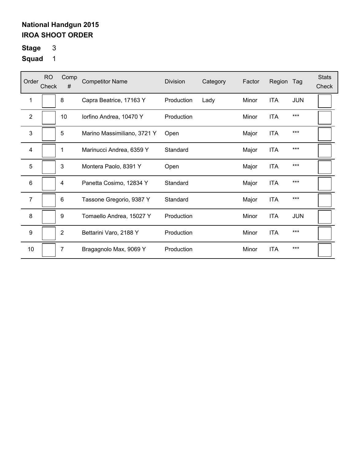# **Stage** 3

| Order          | <b>RO</b><br>Check | Comp<br>#      | <b>Competitor Name</b>      | <b>Division</b> | Category | Factor | Region     | Tag        | <b>Stats</b><br>Check |
|----------------|--------------------|----------------|-----------------------------|-----------------|----------|--------|------------|------------|-----------------------|
| 1              |                    | 8              | Capra Beatrice, 17163 Y     | Production      | Lady     | Minor  | <b>ITA</b> | <b>JUN</b> |                       |
| $\overline{2}$ |                    | 10             | lorfino Andrea, 10470 Y     | Production      |          | Minor  | <b>ITA</b> | $***$      |                       |
| 3              |                    | 5              | Marino Massimiliano, 3721 Y | Open            |          | Major  | <b>ITA</b> | ***        |                       |
| 4              |                    | 1              | Marinucci Andrea, 6359 Y    | Standard        |          | Major  | <b>ITA</b> | $***$      |                       |
| 5              |                    | 3              | Montera Paolo, 8391 Y       | Open            |          | Major  | <b>ITA</b> | $***$      |                       |
| 6              |                    | 4              | Panetta Cosimo, 12834 Y     | Standard        |          | Major  | <b>ITA</b> | $***$      |                       |
| 7              |                    | 6              | Tassone Gregorio, 9387 Y    | Standard        |          | Major  | <b>ITA</b> | $***$      |                       |
| 8              |                    | 9              | Tomaello Andrea, 15027 Y    | Production      |          | Minor  | <b>ITA</b> | <b>JUN</b> |                       |
| 9              |                    | $\overline{2}$ | Bettarini Varo, 2188 Y      | Production      |          | Minor  | <b>ITA</b> | $***$      |                       |
| 10             |                    | 7              | Bragagnolo Max, 9069 Y      | Production      |          | Minor  | <b>ITA</b> | $***$      |                       |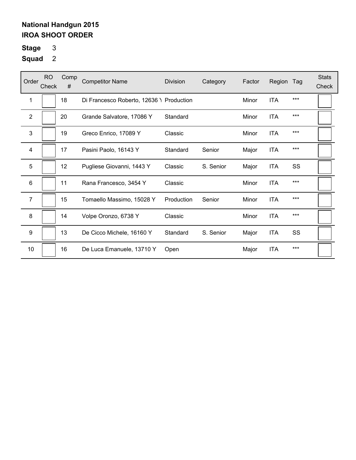# **Stage** 3

| Order          | <b>RO</b><br>Check | Comp<br># | <b>Competitor Name</b>                   | <b>Division</b> | Category  | Factor | Region     | Tag | <b>Stats</b><br>Check |
|----------------|--------------------|-----------|------------------------------------------|-----------------|-----------|--------|------------|-----|-----------------------|
| 1              |                    | 18        | Di Francesco Roberto, 12636 \ Production |                 |           | Minor  | <b>ITA</b> | *** |                       |
| $\overline{2}$ |                    | 20        | Grande Salvatore, 17086 Y                | Standard        |           | Minor  | <b>ITA</b> | *** |                       |
| $\mathbf{3}$   |                    | 19        | Greco Enrico, 17089 Y                    | Classic         |           | Minor  | <b>ITA</b> | *** |                       |
| 4              |                    | 17        | Pasini Paolo, 16143 Y                    | Standard        | Senior    | Major  | <b>ITA</b> | *** |                       |
| 5              |                    | 12        | Pugliese Giovanni, 1443 Y                | Classic         | S. Senior | Major  | <b>ITA</b> | SS  |                       |
| 6              |                    | 11        | Rana Francesco, 3454 Y                   | Classic         |           | Minor  | <b>ITA</b> | *** |                       |
| $\overline{7}$ |                    | 15        | Tomaello Massimo, 15028 Y                | Production      | Senior    | Minor  | <b>ITA</b> | *** |                       |
| 8              |                    | 14        | Volpe Oronzo, 6738 Y                     | Classic         |           | Minor  | <b>ITA</b> | *** |                       |
| 9              |                    | 13        | De Cicco Michele, 16160 Y                | Standard        | S. Senior | Major  | <b>ITA</b> | SS  |                       |
| 10             |                    | 16        | De Luca Emanuele, 13710 Y                | Open            |           | Major  | <b>ITA</b> | *** |                       |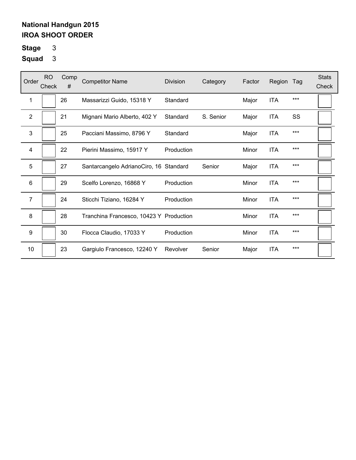**Stage** 3

| Order          | RO.<br>Check | Comp<br># | <b>Competitor Name</b>                  | Division   | Category  | Factor | Region     | Tag   | <b>Stats</b><br>Check |
|----------------|--------------|-----------|-----------------------------------------|------------|-----------|--------|------------|-------|-----------------------|
| 1              |              | 26        | Massarizzi Guido, 15318 Y               | Standard   |           | Major  | <b>ITA</b> | ***   |                       |
| $\overline{2}$ |              | 21        | Mignani Mario Alberto, 402 Y            | Standard   | S. Senior | Major  | <b>ITA</b> | SS    |                       |
| 3              |              | 25        | Pacciani Massimo, 8796 Y                | Standard   |           | Major  | <b>ITA</b> | $***$ |                       |
| 4              |              | 22        | Pierini Massimo, 15917 Y                | Production |           | Minor  | <b>ITA</b> | $***$ |                       |
| 5              |              | 27        | Santarcangelo AdrianoCiro, 16 Standard  |            | Senior    | Major  | <b>ITA</b> | ***   |                       |
| 6              |              | 29        | Scelfo Lorenzo, 16868 Y                 | Production |           | Minor  | <b>ITA</b> | $***$ |                       |
| 7              |              | 24        | Sticchi Tiziano, 16284 Y                | Production |           | Minor  | <b>ITA</b> | $***$ |                       |
| 8              |              | 28        | Tranchina Francesco, 10423 Y Production |            |           | Minor  | <b>ITA</b> | $***$ |                       |
| 9              |              | 30        | Flocca Claudio, 17033 Y                 | Production |           | Minor  | <b>ITA</b> | $***$ |                       |
| 10             |              | 23        | Gargiulo Francesco, 12240 Y             | Revolver   | Senior    | Major  | <b>ITA</b> | $***$ |                       |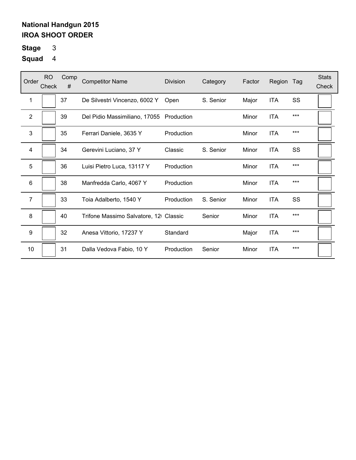# **Stage** 3

| Order                   | <b>RO</b><br>Check | Comp<br># | <b>Competitor Name</b>                   | <b>Division</b> | Category  | Factor | Region     | Tag   | <b>Stats</b><br>Check |
|-------------------------|--------------------|-----------|------------------------------------------|-----------------|-----------|--------|------------|-------|-----------------------|
| 1                       |                    | 37        | De Silvestri Vincenzo, 6002 Y            | Open            | S. Senior | Major  | <b>ITA</b> | SS    |                       |
| $\overline{2}$          |                    | 39        | Del Pidio Massimiliano, 17055 Production |                 |           | Minor  | <b>ITA</b> | $***$ |                       |
| 3                       |                    | 35        | Ferrari Daniele, 3635 Y                  | Production      |           | Minor  | <b>ITA</b> | $***$ |                       |
| $\overline{\mathbf{4}}$ |                    | 34        | Gerevini Luciano, 37 Y                   | Classic         | S. Senior | Minor  | <b>ITA</b> | SS    |                       |
| 5                       |                    | 36        | Luisi Pietro Luca, 13117 Y               | Production      |           | Minor  | <b>ITA</b> | $***$ |                       |
| 6                       |                    | 38        | Manfredda Carlo, 4067 Y                  | Production      |           | Minor  | <b>ITA</b> | $***$ |                       |
| $\overline{7}$          |                    | 33        | Toia Adalberto, 1540 Y                   | Production      | S. Senior | Minor  | <b>ITA</b> | SS    |                       |
| 8                       |                    | 40        | Trifone Massimo Salvatore, 12 Classic    |                 | Senior    | Minor  | <b>ITA</b> | $***$ |                       |
| 9                       |                    | 32        | Anesa Vittorio, 17237 Y                  | Standard        |           | Major  | <b>ITA</b> | ***   |                       |
| 10                      |                    | 31        | Dalla Vedova Fabio, 10 Y                 | Production      | Senior    | Minor  | <b>ITA</b> | $***$ |                       |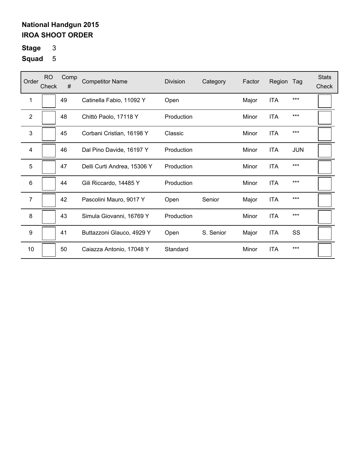# **Stage** 3

| Order            | <b>RO</b><br>Check | Comp<br># | <b>Competitor Name</b>      | <b>Division</b> | Category  | Factor | Region     | Tag        | <b>Stats</b><br>Check |
|------------------|--------------------|-----------|-----------------------------|-----------------|-----------|--------|------------|------------|-----------------------|
| 1                |                    | 49        | Catinella Fabio, 11092 Y    | Open            |           | Major  | <b>ITA</b> | $***$      |                       |
| 2                |                    | 48        | Chittò Paolo, 17118 Y       | Production      |           | Minor  | <b>ITA</b> | $***$      |                       |
| 3                |                    | 45        | Corbani Cristian, 16198 Y   | Classic         |           | Minor  | <b>ITA</b> | $***$      |                       |
| 4                |                    | 46        | Dal Pino Davide, 16197 Y    | Production      |           | Minor  | <b>ITA</b> | <b>JUN</b> |                       |
| 5                |                    | 47        | Delli Curti Andrea, 15306 Y | Production      |           | Minor  | <b>ITA</b> | $***$      |                       |
| 6                |                    | 44        | Gili Riccardo, 14485 Y      | Production      |           | Minor  | <b>ITA</b> | ***        |                       |
| $\overline{7}$   |                    | 42        | Pascolini Mauro, 9017 Y     | Open            | Senior    | Major  | <b>ITA</b> | $***$      |                       |
| 8                |                    | 43        | Simula Giovanni, 16769 Y    | Production      |           | Minor  | <b>ITA</b> | $***$      |                       |
| $\boldsymbol{9}$ |                    | 41        | Buttazzoni Glauco, 4929 Y   | Open            | S. Senior | Major  | <b>ITA</b> | SS         |                       |
| 10               |                    | 50        | Caiazza Antonio, 17048 Y    | Standard        |           | Minor  | <b>ITA</b> | $***$      |                       |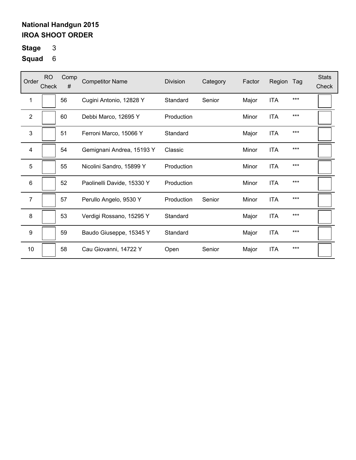# **Stage** 3

| Order          | <b>RO</b><br>Check | Comp<br># | <b>Competitor Name</b>     | <b>Division</b> | Category | Factor | Region     | Tag   | <b>Stats</b><br>Check |
|----------------|--------------------|-----------|----------------------------|-----------------|----------|--------|------------|-------|-----------------------|
| 1              |                    | 56        | Cugini Antonio, 12828 Y    | Standard        | Senior   | Major  | <b>ITA</b> | $***$ |                       |
| 2              |                    | 60        | Debbi Marco, 12695 Y       | Production      |          | Minor  | <b>ITA</b> | $***$ |                       |
| 3              |                    | 51        | Ferroni Marco, 15066 Y     | Standard        |          | Major  | <b>ITA</b> | $***$ |                       |
| 4              |                    | 54        | Gemignani Andrea, 15193 Y  | Classic         |          | Minor  | <b>ITA</b> | $***$ |                       |
| 5              |                    | 55        | Nicolini Sandro, 15899 Y   | Production      |          | Minor  | <b>ITA</b> | $***$ |                       |
| 6              |                    | 52        | Paolinelli Davide, 15330 Y | Production      |          | Minor  | <b>ITA</b> | $***$ |                       |
| $\overline{7}$ |                    | 57        | Perullo Angelo, 9530 Y     | Production      | Senior   | Minor  | <b>ITA</b> | $***$ |                       |
| 8              |                    | 53        | Verdigi Rossano, 15295 Y   | Standard        |          | Major  | <b>ITA</b> | $***$ |                       |
| 9              |                    | 59        | Baudo Giuseppe, 15345 Y    | Standard        |          | Major  | <b>ITA</b> | $***$ |                       |
| 10             |                    | 58        | Cau Giovanni, 14722 Y      | Open            | Senior   | Major  | <b>ITA</b> | $***$ |                       |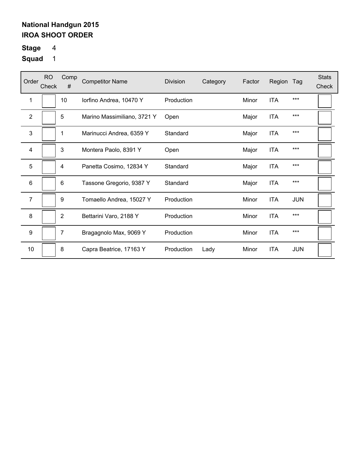# **Stage** 4

| Order          | <b>RO</b><br>Check | Comp<br>#      | <b>Competitor Name</b>      | <b>Division</b> | Category | Factor | Region     | Tag        | <b>Stats</b><br>Check |
|----------------|--------------------|----------------|-----------------------------|-----------------|----------|--------|------------|------------|-----------------------|
| 1              |                    | 10             | lorfino Andrea, 10470 Y     | Production      |          | Minor  | <b>ITA</b> | ***        |                       |
| $\overline{2}$ |                    | 5              | Marino Massimiliano, 3721 Y | Open            |          | Major  | <b>ITA</b> | ***        |                       |
| 3              |                    | 1              | Marinucci Andrea, 6359 Y    | Standard        |          | Major  | <b>ITA</b> | ***        |                       |
| 4              |                    | 3              | Montera Paolo, 8391 Y       | Open            |          | Major  | <b>ITA</b> | ***        |                       |
| 5              |                    | 4              | Panetta Cosimo, 12834 Y     | Standard        |          | Major  | <b>ITA</b> | ***        |                       |
| 6              |                    | 6              | Tassone Gregorio, 9387 Y    | Standard        |          | Major  | <b>ITA</b> | ***        |                       |
| $\overline{7}$ |                    | 9              | Tomaello Andrea, 15027 Y    | Production      |          | Minor  | <b>ITA</b> | <b>JUN</b> |                       |
| 8              |                    | $\overline{2}$ | Bettarini Varo, 2188 Y      | Production      |          | Minor  | <b>ITA</b> | ***        |                       |
| 9              |                    | 7              | Bragagnolo Max, 9069 Y      | Production      |          | Minor  | <b>ITA</b> | ***        |                       |
| 10             |                    | 8              | Capra Beatrice, 17163 Y     | Production      | Lady     | Minor  | <b>ITA</b> | <b>JUN</b> |                       |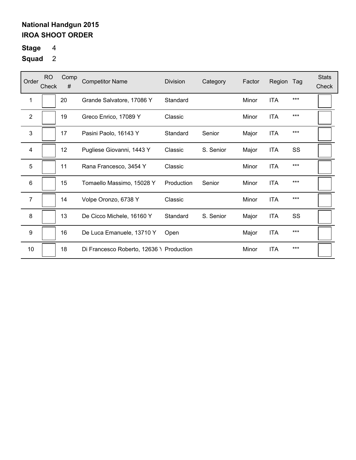# **Stage** 4

| Order          | <b>RO</b><br>Check | Comp<br># | <b>Competitor Name</b>                   | <b>Division</b> | Category  | Factor | Region     | Tag   | <b>Stats</b><br>Check |
|----------------|--------------------|-----------|------------------------------------------|-----------------|-----------|--------|------------|-------|-----------------------|
| 1              |                    | 20        | Grande Salvatore, 17086 Y                | Standard        |           | Minor  | <b>ITA</b> | $***$ |                       |
| $\overline{2}$ |                    | 19        | Greco Enrico, 17089 Y                    | Classic         |           | Minor  | <b>ITA</b> | $***$ |                       |
| 3              |                    | 17        | Pasini Paolo, 16143 Y                    | Standard        | Senior    | Major  | <b>ITA</b> | ***   |                       |
| 4              |                    | 12        | Pugliese Giovanni, 1443 Y                | Classic         | S. Senior | Major  | <b>ITA</b> | SS    |                       |
| 5              |                    | 11        | Rana Francesco, 3454 Y                   | Classic         |           | Minor  | <b>ITA</b> | $***$ |                       |
| 6              |                    | 15        | Tomaello Massimo, 15028 Y                | Production      | Senior    | Minor  | <b>ITA</b> | $***$ |                       |
| $\overline{7}$ |                    | 14        | Volpe Oronzo, 6738 Y                     | Classic         |           | Minor  | <b>ITA</b> | $***$ |                       |
| 8              |                    | 13        | De Cicco Michele, 16160 Y                | Standard        | S. Senior | Major  | <b>ITA</b> | SS    |                       |
| 9              |                    | 16        | De Luca Emanuele, 13710 Y                | Open            |           | Major  | <b>ITA</b> | ***   |                       |
| 10             |                    | 18        | Di Francesco Roberto, 12636 \ Production |                 |           | Minor  | <b>ITA</b> | $***$ |                       |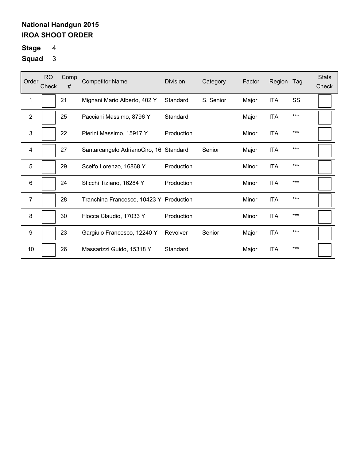# **Stage** 4

| Order          | <b>RO</b><br>Check | Comp<br># | <b>Competitor Name</b>                  | <b>Division</b> | Category  | Factor | Region     | Tag   | <b>Stats</b><br>Check |
|----------------|--------------------|-----------|-----------------------------------------|-----------------|-----------|--------|------------|-------|-----------------------|
| 1              |                    | 21        | Mignani Mario Alberto, 402 Y            | Standard        | S. Senior | Major  | <b>ITA</b> | SS    |                       |
| $\overline{2}$ |                    | 25        | Pacciani Massimo, 8796 Y                | Standard        |           | Major  | <b>ITA</b> | $***$ |                       |
| 3              |                    | 22        | Pierini Massimo, 15917 Y                | Production      |           | Minor  | <b>ITA</b> | $***$ |                       |
| 4              |                    | 27        | Santarcangelo AdrianoCiro, 16 Standard  |                 | Senior    | Major  | ITA        | $***$ |                       |
| 5              |                    | 29        | Scelfo Lorenzo, 16868 Y                 | Production      |           | Minor  | <b>ITA</b> | $***$ |                       |
| 6              |                    | 24        | Sticchi Tiziano, 16284 Y                | Production      |           | Minor  | <b>ITA</b> | $***$ |                       |
| $\overline{7}$ |                    | 28        | Tranchina Francesco, 10423 Y Production |                 |           | Minor  | <b>ITA</b> | $***$ |                       |
| 8              |                    | 30        | Flocca Claudio, 17033 Y                 | Production      |           | Minor  | <b>ITA</b> | $***$ |                       |
| 9              |                    | 23        | Gargiulo Francesco, 12240 Y             | Revolver        | Senior    | Major  | <b>ITA</b> | $***$ |                       |
| 10             |                    | 26        | Massarizzi Guido, 15318 Y               | Standard        |           | Major  | <b>ITA</b> | $***$ |                       |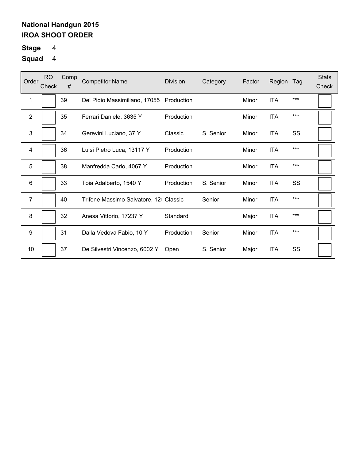# **Stage** 4

| Order          | <b>RO</b><br>Check | Comp<br># | <b>Competitor Name</b>                | <b>Division</b> | Category  | Factor | Region     | Tag   | <b>Stats</b><br>Check |
|----------------|--------------------|-----------|---------------------------------------|-----------------|-----------|--------|------------|-------|-----------------------|
| 1              |                    | 39        | Del Pidio Massimiliano, 17055         | Production      |           | Minor  | <b>ITA</b> | $***$ |                       |
| $\overline{2}$ |                    | 35        | Ferrari Daniele, 3635 Y               | Production      |           | Minor  | <b>ITA</b> | ***   |                       |
| 3              |                    | 34        | Gerevini Luciano, 37 Y                | Classic         | S. Senior | Minor  | <b>ITA</b> | SS    |                       |
| 4              |                    | 36        | Luisi Pietro Luca, 13117 Y            | Production      |           | Minor  | <b>ITA</b> | ***   |                       |
| 5              |                    | 38        | Manfredda Carlo, 4067 Y               | Production      |           | Minor  | <b>ITA</b> | ***   |                       |
| 6              |                    | 33        | Toia Adalberto, 1540 Y                | Production      | S. Senior | Minor  | <b>ITA</b> | SS    |                       |
| $\overline{7}$ |                    | 40        | Trifone Massimo Salvatore, 12 Classic |                 | Senior    | Minor  | <b>ITA</b> | ***   |                       |
| 8              |                    | 32        | Anesa Vittorio, 17237 Y               | Standard        |           | Major  | <b>ITA</b> | ***   |                       |
| 9              |                    | 31        | Dalla Vedova Fabio, 10 Y              | Production      | Senior    | Minor  | <b>ITA</b> | ***   |                       |
| 10             |                    | 37        | De Silvestri Vincenzo, 6002 Y         | Open            | S. Senior | Major  | <b>ITA</b> | SS    |                       |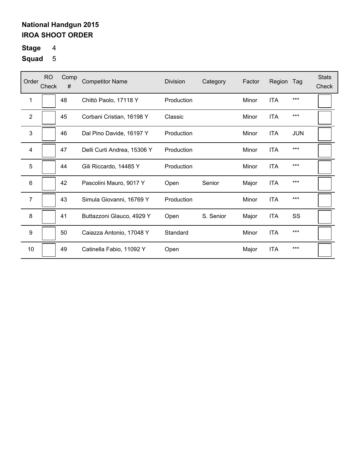# **Stage** 4

| Order            | <b>RO</b><br>Check | Comp<br># | <b>Competitor Name</b>      | <b>Division</b> | Category  | Factor | Region     | Tag        | <b>Stats</b><br>Check |
|------------------|--------------------|-----------|-----------------------------|-----------------|-----------|--------|------------|------------|-----------------------|
| 1                |                    | 48        | Chittò Paolo, 17118 Y       | Production      |           | Minor  | <b>ITA</b> | ***        |                       |
| $\overline{2}$   |                    | 45        | Corbani Cristian, 16198 Y   | Classic         |           | Minor  | <b>ITA</b> | ***        |                       |
| 3                |                    | 46        | Dal Pino Davide, 16197 Y    | Production      |           | Minor  | <b>ITA</b> | <b>JUN</b> |                       |
| 4                |                    | 47        | Delli Curti Andrea, 15306 Y | Production      |           | Minor  | <b>ITA</b> | ***        |                       |
| 5                |                    | 44        | Gili Riccardo, 14485 Y      | Production      |           | Minor  | <b>ITA</b> | ***        |                       |
| 6                |                    | 42        | Pascolini Mauro, 9017 Y     | Open            | Senior    | Major  | <b>ITA</b> | ***        |                       |
| 7                |                    | 43        | Simula Giovanni, 16769 Y    | Production      |           | Minor  | <b>ITA</b> | ***        |                       |
| 8                |                    | 41        | Buttazzoni Glauco, 4929 Y   | Open            | S. Senior | Major  | <b>ITA</b> | SS         |                       |
| $\boldsymbol{9}$ |                    | 50        | Caiazza Antonio, 17048 Y    | Standard        |           | Minor  | <b>ITA</b> | ***        |                       |
| 10               |                    | 49        | Catinella Fabio, 11092 Y    | Open            |           | Major  | <b>ITA</b> | ***        |                       |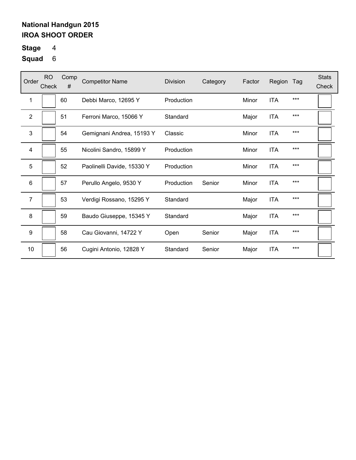# **Stage** 4

| Order          | <b>RO</b><br>Check | Comp<br># | <b>Competitor Name</b>     | <b>Division</b> | Category | Factor | Region     | Tag   | <b>Stats</b><br>Check |
|----------------|--------------------|-----------|----------------------------|-----------------|----------|--------|------------|-------|-----------------------|
| 1              |                    | 60        | Debbi Marco, 12695 Y       | Production      |          | Minor  | <b>ITA</b> | $***$ |                       |
| 2              |                    | 51        | Ferroni Marco, 15066 Y     | Standard        |          | Major  | <b>ITA</b> | $***$ |                       |
| 3              |                    | 54        | Gemignani Andrea, 15193 Y  | Classic         |          | Minor  | <b>ITA</b> | $***$ |                       |
| $\overline{4}$ |                    | 55        | Nicolini Sandro, 15899 Y   | Production      |          | Minor  | <b>ITA</b> | $***$ |                       |
| 5              |                    | 52        | Paolinelli Davide, 15330 Y | Production      |          | Minor  | <b>ITA</b> | $***$ |                       |
| 6              |                    | 57        | Perullo Angelo, 9530 Y     | Production      | Senior   | Minor  | <b>ITA</b> | $***$ |                       |
| $\overline{7}$ |                    | 53        | Verdigi Rossano, 15295 Y   | Standard        |          | Major  | <b>ITA</b> | $***$ |                       |
| 8              |                    | 59        | Baudo Giuseppe, 15345 Y    | Standard        |          | Major  | <b>ITA</b> | $***$ |                       |
| 9              |                    | 58        | Cau Giovanni, 14722 Y      | Open            | Senior   | Major  | <b>ITA</b> | $***$ |                       |
| 10             |                    | 56        | Cugini Antonio, 12828 Y    | Standard        | Senior   | Major  | <b>ITA</b> | $***$ |                       |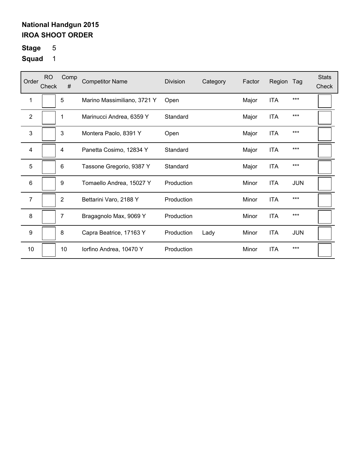# **Stage** 5

| Order          | <b>RO</b><br>Check | Comp<br># | <b>Competitor Name</b>      | <b>Division</b> | Category | Factor | Region     | Tag        | <b>Stats</b><br>Check |
|----------------|--------------------|-----------|-----------------------------|-----------------|----------|--------|------------|------------|-----------------------|
| 1              |                    | 5         | Marino Massimiliano, 3721 Y | Open            |          | Major  | <b>ITA</b> | ***        |                       |
| $\overline{2}$ |                    | 1         | Marinucci Andrea, 6359 Y    | Standard        |          | Major  | <b>ITA</b> | ***        |                       |
| 3              |                    | 3         | Montera Paolo, 8391 Y       | Open            |          | Major  | <b>ITA</b> | ***        |                       |
| 4              |                    | 4         | Panetta Cosimo, 12834 Y     | Standard        |          | Major  | <b>ITA</b> | ***        |                       |
| 5              |                    | 6         | Tassone Gregorio, 9387 Y    | Standard        |          | Major  | <b>ITA</b> | ***        |                       |
| 6              |                    | 9         | Tomaello Andrea, 15027 Y    | Production      |          | Minor  | <b>ITA</b> | <b>JUN</b> |                       |
| 7              |                    | 2         | Bettarini Varo, 2188 Y      | Production      |          | Minor  | <b>ITA</b> | ***        |                       |
| 8              |                    | 7         | Bragagnolo Max, 9069 Y      | Production      |          | Minor  | <b>ITA</b> | ***        |                       |
| 9              |                    | 8         | Capra Beatrice, 17163 Y     | Production      | Lady     | Minor  | <b>ITA</b> | <b>JUN</b> |                       |
| 10             |                    | 10        | lorfino Andrea, 10470 Y     | Production      |          | Minor  | <b>ITA</b> | ***        |                       |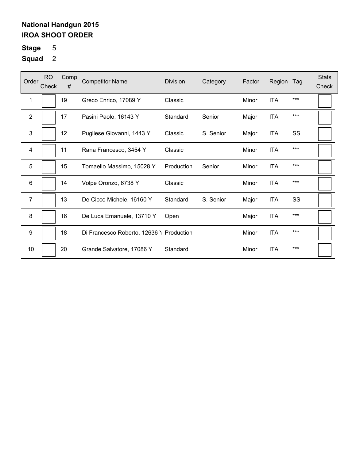# **Stage** 5

| Order          | <b>RO</b><br>Check | Comp<br># | <b>Competitor Name</b>                   | <b>Division</b> | Category  | Factor | Region     | Tag | <b>Stats</b><br>Check |
|----------------|--------------------|-----------|------------------------------------------|-----------------|-----------|--------|------------|-----|-----------------------|
| 1              |                    | 19        | Greco Enrico, 17089 Y                    | Classic         |           | Minor  | <b>ITA</b> | *** |                       |
| $\overline{2}$ |                    | 17        | Pasini Paolo, 16143 Y                    | Standard        | Senior    | Major  | <b>ITA</b> | *** |                       |
| 3              |                    | 12        | Pugliese Giovanni, 1443 Y                | Classic         | S. Senior | Major  | <b>ITA</b> | SS  |                       |
| 4              |                    | 11        | Rana Francesco, 3454 Y                   | Classic         |           | Minor  | <b>ITA</b> | *** |                       |
| 5              |                    | 15        | Tomaello Massimo, 15028 Y                | Production      | Senior    | Minor  | <b>ITA</b> | *** |                       |
| 6              |                    | 14        | Volpe Oronzo, 6738 Y                     | Classic         |           | Minor  | <b>ITA</b> | *** |                       |
| $\overline{7}$ |                    | 13        | De Cicco Michele, 16160 Y                | Standard        | S. Senior | Major  | <b>ITA</b> | SS  |                       |
| 8              |                    | 16        | De Luca Emanuele, 13710 Y                | Open            |           | Major  | <b>ITA</b> | *** |                       |
| 9              |                    | 18        | Di Francesco Roberto, 12636 \ Production |                 |           | Minor  | <b>ITA</b> | *** |                       |
| 10             |                    | 20        | Grande Salvatore, 17086 Y                | Standard        |           | Minor  | <b>ITA</b> | *** |                       |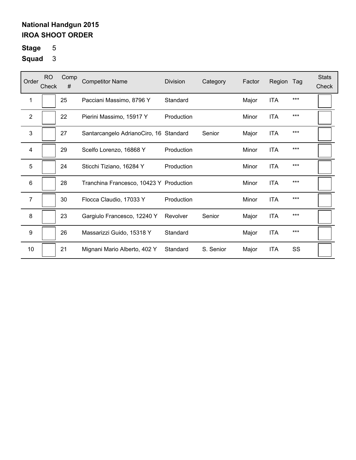# **Stage** 5

| Order            | <b>RO</b><br>Check | Comp<br># | <b>Competitor Name</b>                  | <b>Division</b> | Category  | Factor | Region     | Tag | <b>Stats</b><br>Check |
|------------------|--------------------|-----------|-----------------------------------------|-----------------|-----------|--------|------------|-----|-----------------------|
| 1                |                    | 25        | Pacciani Massimo, 8796 Y                | Standard        |           | Major  | <b>ITA</b> | *** |                       |
| $\overline{2}$   |                    | 22        | Pierini Massimo, 15917 Y                | Production      |           | Minor  | <b>ITA</b> | *** |                       |
| 3                |                    | 27        | Santarcangelo AdrianoCiro, 16 Standard  |                 | Senior    | Major  | <b>ITA</b> | *** |                       |
| 4                |                    | 29        | Scelfo Lorenzo, 16868 Y                 | Production      |           | Minor  | <b>ITA</b> | *** |                       |
| 5                |                    | 24        | Sticchi Tiziano, 16284 Y                | Production      |           | Minor  | <b>ITA</b> | *** |                       |
| 6                |                    | 28        | Tranchina Francesco, 10423 Y Production |                 |           | Minor  | <b>ITA</b> | *** |                       |
| $\overline{7}$   |                    | 30        | Flocca Claudio, 17033 Y                 | Production      |           | Minor  | <b>ITA</b> | *** |                       |
| 8                |                    | 23        | Gargiulo Francesco, 12240 Y             | Revolver        | Senior    | Major  | <b>ITA</b> | *** |                       |
| $\boldsymbol{9}$ |                    | 26        | Massarizzi Guido, 15318 Y               | Standard        |           | Major  | <b>ITA</b> | *** |                       |
| 10               |                    | 21        | Mignani Mario Alberto, 402 Y            | Standard        | S. Senior | Major  | <b>ITA</b> | SS  |                       |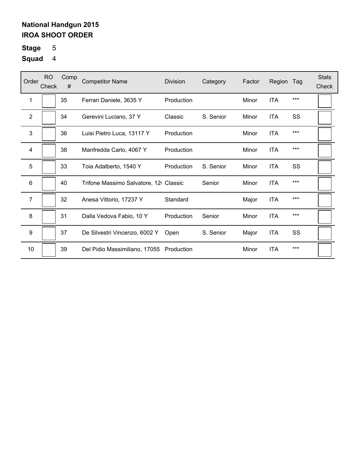# **Stage** 5

| Order          | RO.<br>Check | Comp<br># | <b>Competitor Name</b>                   | <b>Division</b> | Category  | Factor | Region     | Tag   | <b>Stats</b><br>Check |
|----------------|--------------|-----------|------------------------------------------|-----------------|-----------|--------|------------|-------|-----------------------|
| 1              |              | 35        | Ferrari Daniele, 3635 Y                  | Production      |           | Minor  | <b>ITA</b> | ***   |                       |
| $\overline{2}$ |              | 34        | Gerevini Luciano, 37 Y                   | Classic         | S. Senior | Minor  | <b>ITA</b> | SS    |                       |
| 3              |              | 36        | Luisi Pietro Luca, 13117 Y               | Production      |           | Minor  | <b>ITA</b> | $***$ |                       |
| 4              |              | 38        | Manfredda Carlo, 4067 Y                  | Production      |           | Minor  | <b>ITA</b> | $***$ |                       |
| 5              |              | 33        | Toia Adalberto, 1540 Y                   | Production      | S. Senior | Minor  | <b>ITA</b> | SS    |                       |
| 6              |              | 40        | Trifone Massimo Salvatore, 12 Classic    |                 | Senior    | Minor  | <b>ITA</b> | $***$ |                       |
| $\overline{7}$ |              | 32        | Anesa Vittorio, 17237 Y                  | Standard        |           | Major  | <b>ITA</b> | $***$ |                       |
| 8              |              | 31        | Dalla Vedova Fabio, 10 Y                 | Production      | Senior    | Minor  | <b>ITA</b> | $***$ |                       |
| 9              |              | 37        | De Silvestri Vincenzo, 6002 Y            | Open            | S. Senior | Major  | <b>ITA</b> | SS    |                       |
| 10             |              | 39        | Del Pidio Massimiliano, 17055 Production |                 |           | Minor  | <b>ITA</b> | $***$ |                       |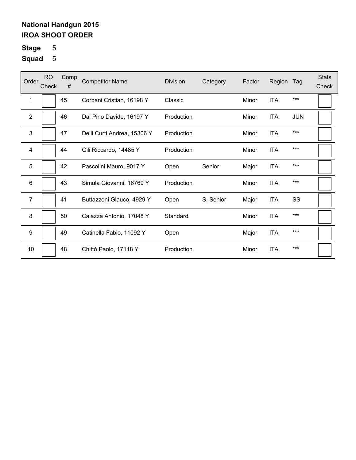# **Stage** 5

| Order            | <b>RO</b><br>Check | Comp<br># | <b>Competitor Name</b>      | <b>Division</b> | Category  | Factor | Region     | Tag        | <b>Stats</b><br>Check |
|------------------|--------------------|-----------|-----------------------------|-----------------|-----------|--------|------------|------------|-----------------------|
| 1                |                    | 45        | Corbani Cristian, 16198 Y   | Classic         |           | Minor  | <b>ITA</b> | ***        |                       |
| $\overline{2}$   |                    | 46        | Dal Pino Davide, 16197 Y    | Production      |           | Minor  | <b>ITA</b> | <b>JUN</b> |                       |
| 3                |                    | 47        | Delli Curti Andrea, 15306 Y | Production      |           | Minor  | <b>ITA</b> | ***        |                       |
| 4                |                    | 44        | Gili Riccardo, 14485 Y      | Production      |           | Minor  | <b>ITA</b> | $***$      |                       |
| 5                |                    | 42        | Pascolini Mauro, 9017 Y     | Open            | Senior    | Major  | <b>ITA</b> | ***        |                       |
| $\,6$            |                    | 43        | Simula Giovanni, 16769 Y    | Production      |           | Minor  | <b>ITA</b> | ***        |                       |
| 7                |                    | 41        | Buttazzoni Glauco, 4929 Y   | Open            | S. Senior | Major  | <b>ITA</b> | SS         |                       |
| 8                |                    | 50        | Caiazza Antonio, 17048 Y    | Standard        |           | Minor  | <b>ITA</b> | ***        |                       |
| $\boldsymbol{9}$ |                    | 49        | Catinella Fabio, 11092 Y    | Open            |           | Major  | <b>ITA</b> | ***        |                       |
| 10               |                    | 48        | Chittò Paolo, 17118 Y       | Production      |           | Minor  | <b>ITA</b> | ***        |                       |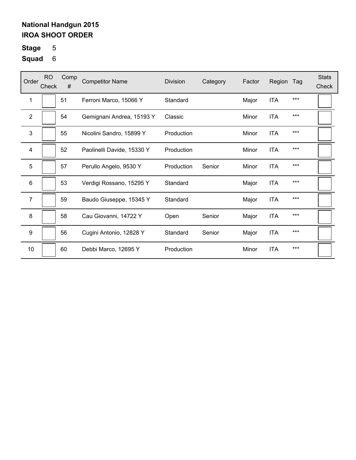# **Stage** 5

| Order            | <b>RO</b><br>Check | Comp<br># | <b>Competitor Name</b>     | Division   | Category | Factor | Region     | Tag   | <b>Stats</b><br>Check |
|------------------|--------------------|-----------|----------------------------|------------|----------|--------|------------|-------|-----------------------|
| 1                |                    | 51        | Ferroni Marco, 15066 Y     | Standard   |          | Major  | <b>ITA</b> | $***$ |                       |
| 2                |                    | 54        | Gemignani Andrea, 15193 Y  | Classic    |          | Minor  | <b>ITA</b> | $***$ |                       |
| 3                |                    | 55        | Nicolini Sandro, 15899 Y   | Production |          | Minor  | <b>ITA</b> | $***$ |                       |
| $\overline{4}$   |                    | 52        | Paolinelli Davide, 15330 Y | Production |          | Minor  | <b>ITA</b> | $***$ |                       |
| 5                |                    | 57        | Perullo Angelo, 9530 Y     | Production | Senior   | Minor  | <b>ITA</b> | $***$ |                       |
| 6                |                    | 53        | Verdigi Rossano, 15295 Y   | Standard   |          | Major  | <b>ITA</b> | $***$ |                       |
| 7                |                    | 59        | Baudo Giuseppe, 15345 Y    | Standard   |          | Major  | <b>ITA</b> | $***$ |                       |
| 8                |                    | 58        | Cau Giovanni, 14722 Y      | Open       | Senior   | Major  | <b>ITA</b> | $***$ |                       |
| $\boldsymbol{9}$ |                    | 56        | Cugini Antonio, 12828 Y    | Standard   | Senior   | Major  | <b>ITA</b> | $***$ |                       |
| 10               |                    | 60        | Debbi Marco, 12695 Y       | Production |          | Minor  | <b>ITA</b> | ***   |                       |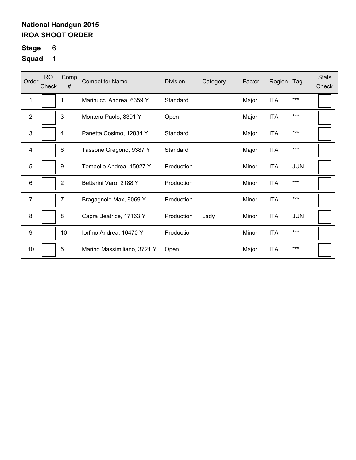# **Stage** 6

| Order          | <b>RO</b><br>Check | Comp<br>#      | <b>Competitor Name</b>      | Division   | Category | Factor | Region     | Tag        | <b>Stats</b><br>Check |
|----------------|--------------------|----------------|-----------------------------|------------|----------|--------|------------|------------|-----------------------|
| 1              |                    | 1              | Marinucci Andrea, 6359 Y    | Standard   |          | Major  | <b>ITA</b> | $***$      |                       |
| $\overline{2}$ |                    | 3              | Montera Paolo, 8391 Y       | Open       |          | Major  | <b>ITA</b> | $***$      |                       |
| 3              |                    | 4              | Panetta Cosimo, 12834 Y     | Standard   |          | Major  | <b>ITA</b> | ***        |                       |
| $\overline{4}$ |                    | 6              | Tassone Gregorio, 9387 Y    | Standard   |          | Major  | <b>ITA</b> | $***$      |                       |
| 5              |                    | 9              | Tomaello Andrea, 15027 Y    | Production |          | Minor  | <b>ITA</b> | <b>JUN</b> |                       |
| 6              |                    | $\overline{2}$ | Bettarini Varo, 2188 Y      | Production |          | Minor  | <b>ITA</b> | $***$      |                       |
| 7              |                    | 7              | Bragagnolo Max, 9069 Y      | Production |          | Minor  | <b>ITA</b> | $***$      |                       |
| 8              |                    | 8              | Capra Beatrice, 17163 Y     | Production | Lady     | Minor  | <b>ITA</b> | <b>JUN</b> |                       |
| 9              |                    | 10             | lorfino Andrea, 10470 Y     | Production |          | Minor  | <b>ITA</b> | $***$      |                       |
| 10             |                    | 5              | Marino Massimiliano, 3721 Y | Open       |          | Major  | <b>ITA</b> | ***        |                       |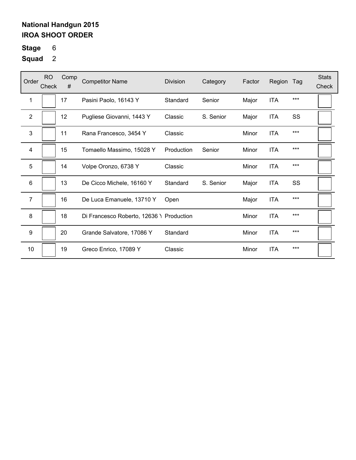**Stage** 6

| Order            | <b>RO</b><br>Check | Comp<br># | <b>Competitor Name</b>                   | <b>Division</b> | Category  | Factor | Region     | Tag   | <b>Stats</b><br>Check |
|------------------|--------------------|-----------|------------------------------------------|-----------------|-----------|--------|------------|-------|-----------------------|
| 1                |                    | 17        | Pasini Paolo, 16143 Y                    | Standard        | Senior    | Major  | <b>ITA</b> | $***$ |                       |
| $\mathbf{2}$     |                    | 12        | Pugliese Giovanni, 1443 Y                | Classic         | S. Senior | Major  | ITA        | SS    |                       |
| 3                |                    | 11        | Rana Francesco, 3454 Y                   | Classic         |           | Minor  | <b>ITA</b> | $***$ |                       |
| 4                |                    | 15        | Tomaello Massimo, 15028 Y                | Production      | Senior    | Minor  | <b>ITA</b> | $***$ |                       |
| 5                |                    | 14        | Volpe Oronzo, 6738 Y                     | Classic         |           | Minor  | <b>ITA</b> | $***$ |                       |
| 6                |                    | 13        | De Cicco Michele, 16160 Y                | Standard        | S. Senior | Major  | <b>ITA</b> | SS    |                       |
| $\overline{7}$   |                    | 16        | De Luca Emanuele, 13710 Y                | Open            |           | Major  | <b>ITA</b> | $***$ |                       |
| 8                |                    | 18        | Di Francesco Roberto, 12636 \ Production |                 |           | Minor  | <b>ITA</b> | $***$ |                       |
| $\boldsymbol{9}$ |                    | 20        | Grande Salvatore, 17086 Y                | Standard        |           | Minor  | <b>ITA</b> | $***$ |                       |
| 10               |                    | 19        | Greco Enrico, 17089 Y                    | Classic         |           | Minor  | <b>ITA</b> | ***   |                       |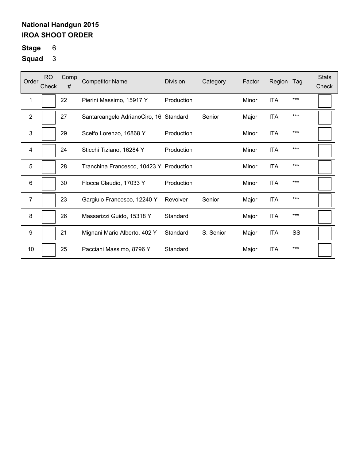**Stage** 6

| Order          | RO.<br>Check | Comp<br># | <b>Competitor Name</b>                  | Division   | Category  | Factor | Region     | Tag   | <b>Stats</b><br>Check |
|----------------|--------------|-----------|-----------------------------------------|------------|-----------|--------|------------|-------|-----------------------|
| 1              |              | 22        | Pierini Massimo, 15917 Y                | Production |           | Minor  | <b>ITA</b> | ***   |                       |
| $\overline{2}$ |              | 27        | Santarcangelo AdrianoCiro, 16 Standard  |            | Senior    | Major  | <b>ITA</b> | $***$ |                       |
| 3              |              | 29        | Scelfo Lorenzo, 16868 Y                 | Production |           | Minor  | <b>ITA</b> | $***$ |                       |
| 4              |              | 24        | Sticchi Tiziano, 16284 Y                | Production |           | Minor  | <b>ITA</b> | $***$ |                       |
| 5              |              | 28        | Tranchina Francesco, 10423 Y Production |            |           | Minor  | <b>ITA</b> | $***$ |                       |
| 6              |              | 30        | Flocca Claudio, 17033 Y                 | Production |           | Minor  | <b>ITA</b> | ***   |                       |
| 7              |              | 23        | Gargiulo Francesco, 12240 Y             | Revolver   | Senior    | Major  | <b>ITA</b> | $***$ |                       |
| 8              |              | 26        | Massarizzi Guido, 15318 Y               | Standard   |           | Major  | <b>ITA</b> | $***$ |                       |
| 9              |              | 21        | Mignani Mario Alberto, 402 Y            | Standard   | S. Senior | Major  | <b>ITA</b> | SS    |                       |
| 10             |              | 25        | Pacciani Massimo, 8796 Y                | Standard   |           | Major  | <b>ITA</b> | $***$ |                       |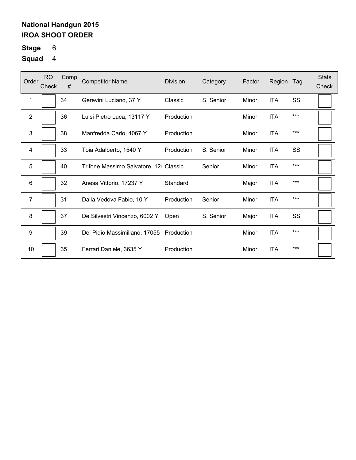# **Stage** 6

| Order          | RO.<br>Check | Comp<br># | <b>Competitor Name</b>                   | <b>Division</b> | Category  | Factor | Region     | Tag   | <b>Stats</b><br>Check |
|----------------|--------------|-----------|------------------------------------------|-----------------|-----------|--------|------------|-------|-----------------------|
| 1              |              | 34        | Gerevini Luciano, 37 Y                   | Classic         | S. Senior | Minor  | <b>ITA</b> | SS    |                       |
| $\overline{2}$ |              | 36        | Luisi Pietro Luca, 13117 Y               | Production      |           | Minor  | <b>ITA</b> | $***$ |                       |
| 3              |              | 38        | Manfredda Carlo, 4067 Y                  | Production      |           | Minor  | <b>ITA</b> | $***$ |                       |
| 4              |              | 33        | Toia Adalberto, 1540 Y                   | Production      | S. Senior | Minor  | <b>ITA</b> | SS    |                       |
| 5              |              | 40        | Trifone Massimo Salvatore, 12 Classic    |                 | Senior    | Minor  | <b>ITA</b> | ***   |                       |
| 6              |              | 32        | Anesa Vittorio, 17237 Y                  | Standard        |           | Major  | <b>ITA</b> | $***$ |                       |
| $\overline{7}$ |              | 31        | Dalla Vedova Fabio, 10 Y                 | Production      | Senior    | Minor  | <b>ITA</b> | $***$ |                       |
| 8              |              | 37        | De Silvestri Vincenzo, 6002 Y            | Open            | S. Senior | Major  | <b>ITA</b> | SS    |                       |
| 9              |              | 39        | Del Pidio Massimiliano, 17055 Production |                 |           | Minor  | <b>ITA</b> | $***$ |                       |
| 10             |              | 35        | Ferrari Daniele, 3635 Y                  | Production      |           | Minor  | <b>ITA</b> | $***$ |                       |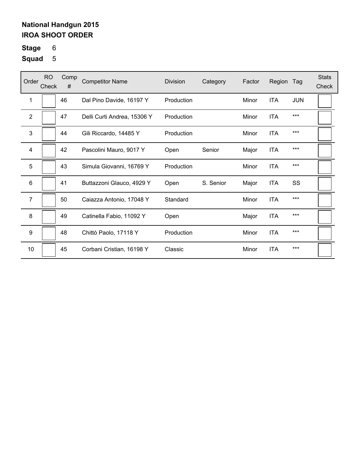# **Stage** 6

| Order        | <b>RO</b><br>Check | Comp<br># | <b>Competitor Name</b>      | Division   | Category  | Factor | Region     | Tag        | <b>Stats</b><br>Check |
|--------------|--------------------|-----------|-----------------------------|------------|-----------|--------|------------|------------|-----------------------|
| 1            |                    | 46        | Dal Pino Davide, 16197 Y    | Production |           | Minor  | <b>ITA</b> | <b>JUN</b> |                       |
| $\mathbf{2}$ |                    | 47        | Delli Curti Andrea, 15306 Y | Production |           | Minor  | <b>ITA</b> | $***$      |                       |
| 3            |                    | 44        | Gili Riccardo, 14485 Y      | Production |           | Minor  | <b>ITA</b> | $***$      |                       |
| 4            |                    | 42        | Pascolini Mauro, 9017 Y     | Open       | Senior    | Major  | <b>ITA</b> | $***$      |                       |
| 5            |                    | 43        | Simula Giovanni, 16769 Y    | Production |           | Minor  | <b>ITA</b> | $***$      |                       |
| 6            |                    | 41        | Buttazzoni Glauco, 4929 Y   | Open       | S. Senior | Major  | <b>ITA</b> | SS         |                       |
| 7            |                    | 50        | Caiazza Antonio, 17048 Y    | Standard   |           | Minor  | <b>ITA</b> | $***$      |                       |
| 8            |                    | 49        | Catinella Fabio, 11092 Y    | Open       |           | Major  | <b>ITA</b> | $***$      |                       |
| 9            |                    | 48        | Chittò Paolo, 17118 Y       | Production |           | Minor  | <b>ITA</b> | $***$      |                       |
| 10           |                    | 45        | Corbani Cristian, 16198 Y   | Classic    |           | Minor  | <b>ITA</b> | $***$      |                       |